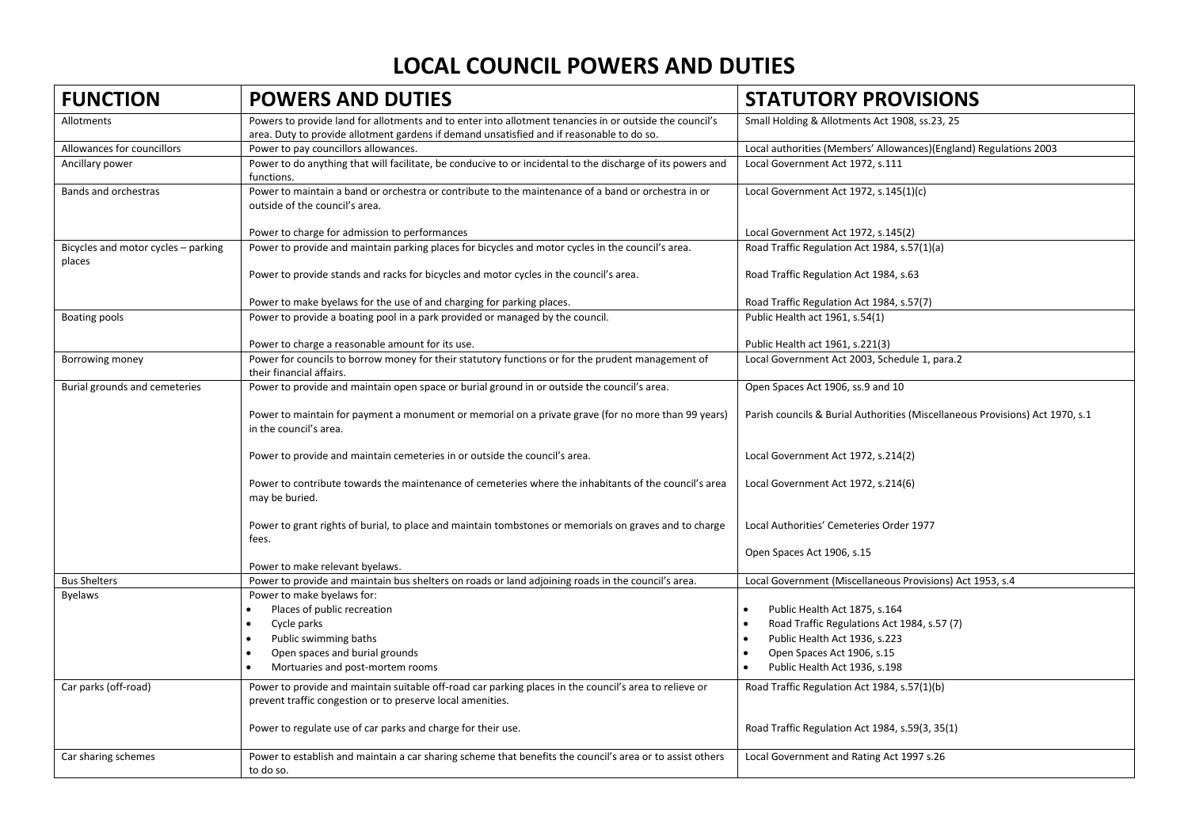| <b>FUNCTION</b>                               | <b>POWERS AND DUTIES</b>                                                                                                                                                                             | <b>STATUTORY PROVISIONS</b>                                                   |
|-----------------------------------------------|------------------------------------------------------------------------------------------------------------------------------------------------------------------------------------------------------|-------------------------------------------------------------------------------|
| Allotments                                    | Powers to provide land for allotments and to enter into allotment tenancies in or outside the council's<br>area. Duty to provide allotment gardens if demand unsatisfied and if reasonable to do so. | Small Holding & Allotments Act 1908, ss.23, 25                                |
| Allowances for councillors                    | Power to pay councillors allowances.                                                                                                                                                                 | Local authorities (Members' Allowances)(England) Regulations 2003             |
| Ancillary power                               | Power to do anything that will facilitate, be conducive to or incidental to the discharge of its powers and<br>functions.                                                                            | Local Government Act 1972, s.111                                              |
| Bands and orchestras                          | Power to maintain a band or orchestra or contribute to the maintenance of a band or orchestra in or<br>outside of the council's area.                                                                | Local Government Act 1972, s.145(1)(c)                                        |
|                                               | Power to charge for admission to performances                                                                                                                                                        | Local Government Act 1972, s.145(2)                                           |
| Bicycles and motor cycles - parking<br>places | Power to provide and maintain parking places for bicycles and motor cycles in the council's area.                                                                                                    | Road Traffic Regulation Act 1984, s.57(1)(a)                                  |
|                                               | Power to provide stands and racks for bicycles and motor cycles in the council's area.                                                                                                               | Road Traffic Regulation Act 1984, s.63                                        |
|                                               | Power to make byelaws for the use of and charging for parking places.                                                                                                                                | Road Traffic Regulation Act 1984, s.57(7)                                     |
| Boating pools                                 | Power to provide a boating pool in a park provided or managed by the council.                                                                                                                        | Public Health act 1961, s.54(1)                                               |
|                                               | Power to charge a reasonable amount for its use.                                                                                                                                                     | Public Health act 1961, s.221(3)                                              |
| Borrowing money                               | Power for councils to borrow money for their statutory functions or for the prudent management of<br>their financial affairs.                                                                        | Local Government Act 2003, Schedule 1, para.2                                 |
| Burial grounds and cemeteries                 | Power to provide and maintain open space or burial ground in or outside the council's area.                                                                                                          | Open Spaces Act 1906, ss.9 and 10                                             |
|                                               | Power to maintain for payment a monument or memorial on a private grave (for no more than 99 years)<br>in the council's area.                                                                        | Parish councils & Burial Authorities (Miscellaneous Provisions) Act 1970, s.1 |
|                                               | Power to provide and maintain cemeteries in or outside the council's area.                                                                                                                           | Local Government Act 1972, s.214(2)                                           |
|                                               | Power to contribute towards the maintenance of cemeteries where the inhabitants of the council's area<br>may be buried.                                                                              | Local Government Act 1972, s.214(6)                                           |
|                                               | Power to grant rights of burial, to place and maintain tombstones or memorials on graves and to charge<br>fees.                                                                                      | Local Authorities' Cemeteries Order 1977                                      |
|                                               | Power to make relevant byelaws.                                                                                                                                                                      | Open Spaces Act 1906, s.15                                                    |
| <b>Bus Shelters</b>                           | Power to provide and maintain bus shelters on roads or land adjoining roads in the council's area.                                                                                                   | Local Government (Miscellaneous Provisions) Act 1953, s.4                     |
| <b>Byelaws</b>                                | Power to make byelaws for:                                                                                                                                                                           |                                                                               |
|                                               | Places of public recreation                                                                                                                                                                          | Public Health Act 1875, s.164                                                 |
|                                               | Cycle parks                                                                                                                                                                                          | Road Traffic Regulations Act 1984, s.57 (7)                                   |
|                                               | Public swimming baths                                                                                                                                                                                | Public Health Act 1936, s.223                                                 |
|                                               | Open spaces and burial grounds                                                                                                                                                                       | Open Spaces Act 1906, s.15                                                    |
|                                               | Mortuaries and post-mortem rooms                                                                                                                                                                     | Public Health Act 1936, s.198                                                 |
| Car parks (off-road)                          | Power to provide and maintain suitable off-road car parking places in the council's area to relieve or<br>prevent traffic congestion or to preserve local amenities.                                 | Road Traffic Regulation Act 1984, s.57(1)(b)                                  |
|                                               |                                                                                                                                                                                                      |                                                                               |
|                                               | Power to regulate use of car parks and charge for their use.                                                                                                                                         | Road Traffic Regulation Act 1984, s.59(3, 35(1)                               |
| Car sharing schemes                           | Power to establish and maintain a car sharing scheme that benefits the council's area or to assist others                                                                                            | Local Government and Rating Act 1997 s.26                                     |
|                                               | to do so.                                                                                                                                                                                            |                                                                               |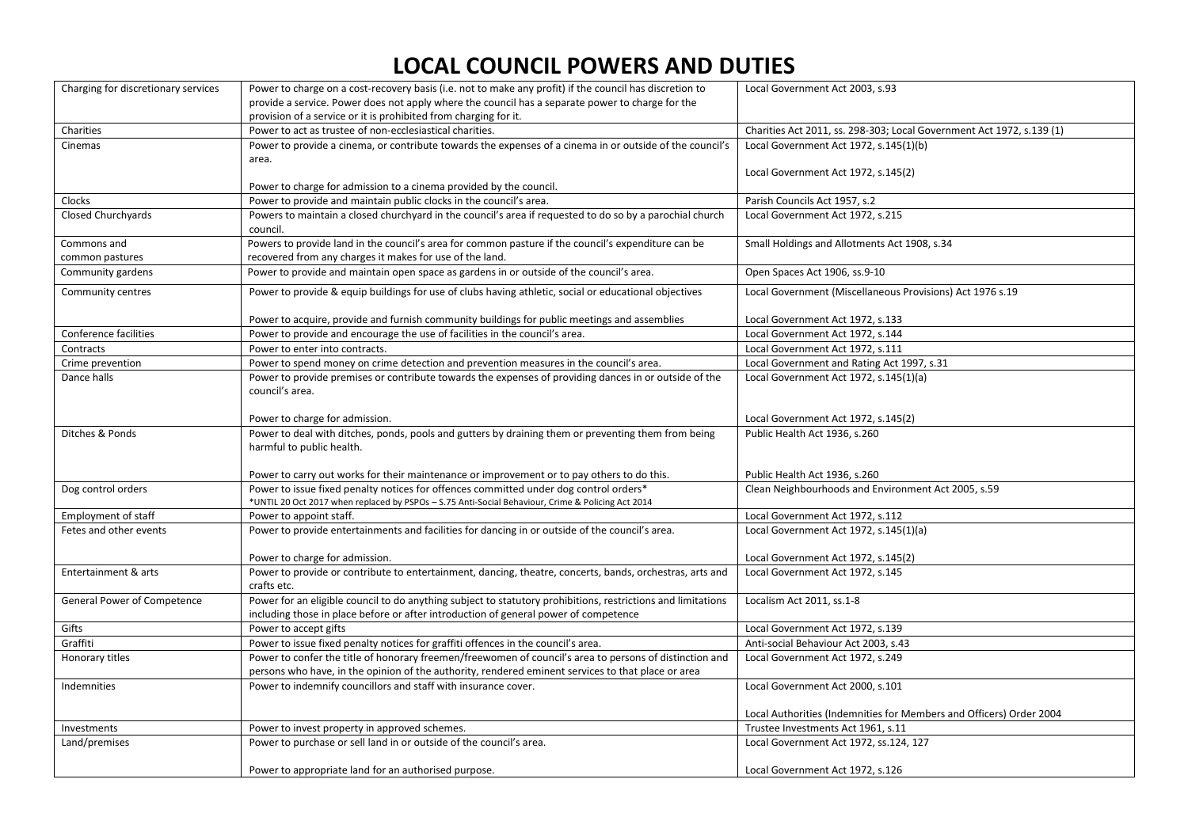| Charging for discretionary services | Power to charge on a cost-recovery basis (i.e. not to make any profit) if the council has discretion to      | Local Government Act 2003, s.93                                       |
|-------------------------------------|--------------------------------------------------------------------------------------------------------------|-----------------------------------------------------------------------|
|                                     | provide a service. Power does not apply where the council has a separate power to charge for the             |                                                                       |
|                                     | provision of a service or it is prohibited from charging for it.                                             |                                                                       |
| Charities                           | Power to act as trustee of non-ecclesiastical charities.                                                     | Charities Act 2011, ss. 298-303; Local Government Act 1972, s.139 (1) |
| Cinemas                             | Power to provide a cinema, or contribute towards the expenses of a cinema in or outside of the council's     | Local Government Act 1972, s.145(1)(b)                                |
|                                     | area.                                                                                                        |                                                                       |
|                                     |                                                                                                              | Local Government Act 1972, s.145(2)                                   |
|                                     | Power to charge for admission to a cinema provided by the council.                                           |                                                                       |
| Clocks                              | Power to provide and maintain public clocks in the council's area.                                           | Parish Councils Act 1957, s.2                                         |
| <b>Closed Churchyards</b>           | Powers to maintain a closed churchyard in the council's area if requested to do so by a parochial church     | Local Government Act 1972, s.215                                      |
|                                     | council.                                                                                                     |                                                                       |
| Commons and                         | Powers to provide land in the council's area for common pasture if the council's expenditure can be          | Small Holdings and Allotments Act 1908, s.34                          |
| common pastures                     | recovered from any charges it makes for use of the land.                                                     |                                                                       |
| Community gardens                   | Power to provide and maintain open space as gardens in or outside of the council's area.                     | Open Spaces Act 1906, ss.9-10                                         |
| Community centres                   | Power to provide & equip buildings for use of clubs having athletic, social or educational objectives        | Local Government (Miscellaneous Provisions) Act 1976 s.19             |
|                                     |                                                                                                              |                                                                       |
|                                     | Power to acquire, provide and furnish community buildings for public meetings and assemblies                 | Local Government Act 1972, s.133                                      |
| Conference facilities               | Power to provide and encourage the use of facilities in the council's area.                                  | Local Government Act 1972, s.144                                      |
| Contracts                           | Power to enter into contracts.                                                                               | Local Government Act 1972, s.111                                      |
| Crime prevention                    | Power to spend money on crime detection and prevention measures in the council's area.                       | Local Government and Rating Act 1997, s.31                            |
| Dance halls                         | Power to provide premises or contribute towards the expenses of providing dances in or outside of the        | Local Government Act 1972, s.145(1)(a)                                |
|                                     | council's area.                                                                                              |                                                                       |
|                                     |                                                                                                              |                                                                       |
|                                     | Power to charge for admission.                                                                               | Local Government Act 1972, s.145(2)                                   |
| Ditches & Ponds                     | Power to deal with ditches, ponds, pools and gutters by draining them or preventing them from being          | Public Health Act 1936, s.260                                         |
|                                     | harmful to public health.                                                                                    |                                                                       |
|                                     | Power to carry out works for their maintenance or improvement or to pay others to do this.                   | Public Health Act 1936, s.260                                         |
| Dog control orders                  | Power to issue fixed penalty notices for offences committed under dog control orders*                        | Clean Neighbourhoods and Environment Act 2005, s.59                   |
|                                     | *UNTIL 20 Oct 2017 when replaced by PSPOs - S.75 Anti-Social Behaviour, Crime & Policing Act 2014            |                                                                       |
| <b>Employment of staff</b>          | Power to appoint staff.                                                                                      | Local Government Act 1972, s.112                                      |
| Fetes and other events              | Power to provide entertainments and facilities for dancing in or outside of the council's area.              | Local Government Act 1972, s.145(1)(a)                                |
|                                     |                                                                                                              |                                                                       |
|                                     | Power to charge for admission.                                                                               | Local Government Act 1972, s.145(2)                                   |
| Entertainment & arts                | Power to provide or contribute to entertainment, dancing, theatre, concerts, bands, orchestras, arts and     | Local Government Act 1972, s.145                                      |
|                                     | crafts etc.                                                                                                  |                                                                       |
| General Power of Competence         | Power for an eligible council to do anything subject to statutory prohibitions, restrictions and limitations | Localism Act 2011, ss.1-8                                             |
|                                     | including those in place before or after introduction of general power of competence                         |                                                                       |
| Gifts                               | Power to accept gifts                                                                                        | Local Government Act 1972, s.139                                      |
| Graffiti                            | Power to issue fixed penalty notices for graffiti offences in the council's area.                            | Anti-social Behaviour Act 2003, s.43                                  |
| Honorary titles                     | Power to confer the title of honorary freemen/freewomen of council's area to persons of distinction and      | Local Government Act 1972, s.249                                      |
|                                     | persons who have, in the opinion of the authority, rendered eminent services to that place or area           |                                                                       |
| Indemnities                         | Power to indemnify councillors and staff with insurance cover.                                               | Local Government Act 2000, s.101                                      |
|                                     |                                                                                                              |                                                                       |
|                                     |                                                                                                              | Local Authorities (Indemnities for Members and Officers) Order 2004   |
| Investments                         | Power to invest property in approved schemes.                                                                | Trustee Investments Act 1961, s.11                                    |
| Land/premises                       | Power to purchase or sell land in or outside of the council's area.                                          | Local Government Act 1972, ss.124, 127                                |
|                                     |                                                                                                              |                                                                       |
|                                     | Power to appropriate land for an authorised purpose.                                                         | Local Government Act 1972, s.126                                      |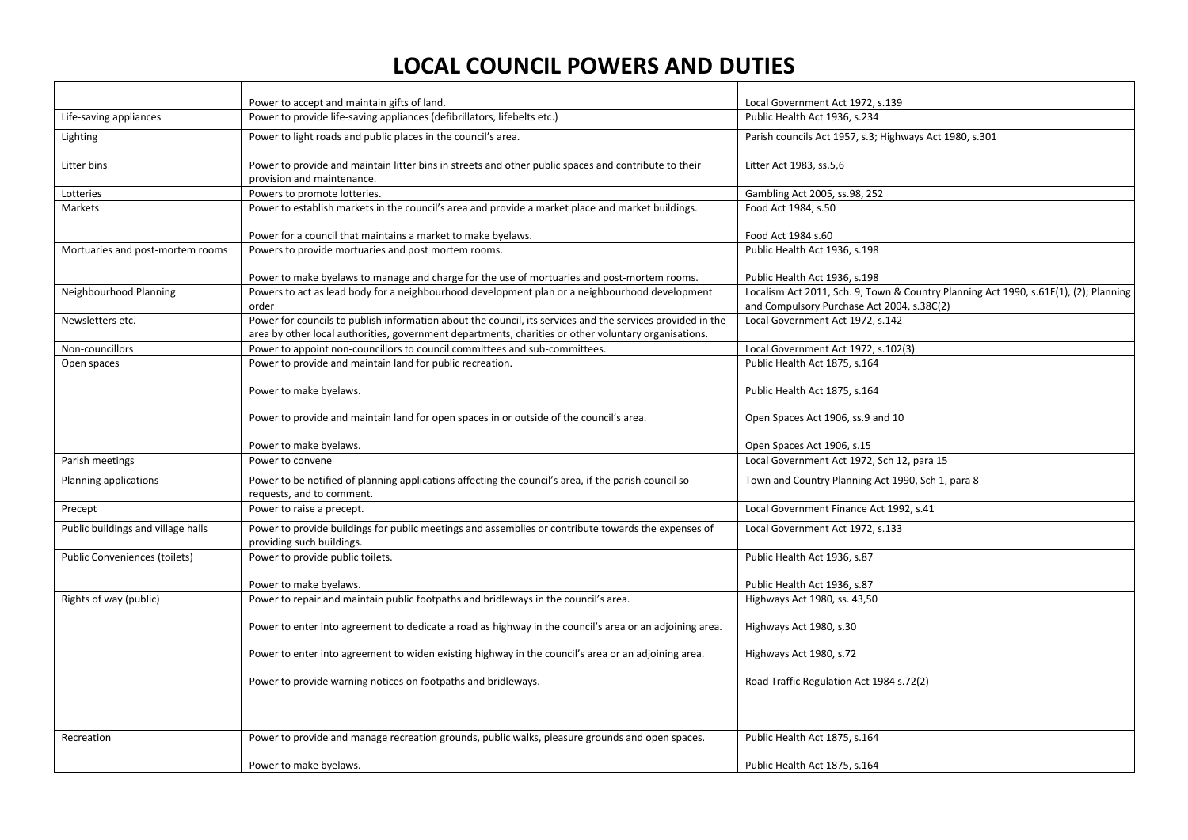|                                    | Power to accept and maintain gifts of land.                                                                                                                                                                        | Local Government Act 1972, s.139                                                     |
|------------------------------------|--------------------------------------------------------------------------------------------------------------------------------------------------------------------------------------------------------------------|--------------------------------------------------------------------------------------|
| Life-saving appliances             | Power to provide life-saving appliances (defibrillators, lifebelts etc.)                                                                                                                                           | Public Health Act 1936, s.234                                                        |
| Lighting                           | Power to light roads and public places in the council's area.                                                                                                                                                      | Parish councils Act 1957, s.3; Highways Act 1980, s.301                              |
| Litter bins                        | Power to provide and maintain litter bins in streets and other public spaces and contribute to their<br>provision and maintenance.                                                                                 | Litter Act 1983, ss.5,6                                                              |
| Lotteries                          | Powers to promote lotteries.                                                                                                                                                                                       | Gambling Act 2005, ss.98, 252                                                        |
| Markets                            | Power to establish markets in the council's area and provide a market place and market buildings.                                                                                                                  | Food Act 1984, s.50                                                                  |
|                                    | Power for a council that maintains a market to make byelaws.                                                                                                                                                       | Food Act 1984 s.60                                                                   |
| Mortuaries and post-mortem rooms   | Powers to provide mortuaries and post mortem rooms.                                                                                                                                                                | Public Health Act 1936, s.198                                                        |
|                                    | Power to make byelaws to manage and charge for the use of mortuaries and post-mortem rooms.                                                                                                                        | Public Health Act 1936, s.198                                                        |
| Neighbourhood Planning             | Powers to act as lead body for a neighbourhood development plan or a neighbourhood development                                                                                                                     | Localism Act 2011, Sch. 9; Town & Country Planning Act 1990, s.61F(1), (2); Planning |
|                                    | order                                                                                                                                                                                                              | and Compulsory Purchase Act 2004, s.38C(2)                                           |
| Newsletters etc.                   | Power for councils to publish information about the council, its services and the services provided in the<br>area by other local authorities, government departments, charities or other voluntary organisations. | Local Government Act 1972, s.142                                                     |
| Non-councillors                    | Power to appoint non-councillors to council committees and sub-committees.                                                                                                                                         | Local Government Act 1972, s.102(3)                                                  |
| Open spaces                        | Power to provide and maintain land for public recreation.                                                                                                                                                          | Public Health Act 1875, s.164                                                        |
|                                    | Power to make byelaws.                                                                                                                                                                                             | Public Health Act 1875, s.164                                                        |
|                                    | Power to provide and maintain land for open spaces in or outside of the council's area.                                                                                                                            | Open Spaces Act 1906, ss.9 and 10                                                    |
|                                    | Power to make byelaws.                                                                                                                                                                                             | Open Spaces Act 1906, s.15                                                           |
| Parish meetings                    | Power to convene                                                                                                                                                                                                   | Local Government Act 1972, Sch 12, para 15                                           |
| Planning applications              | Power to be notified of planning applications affecting the council's area, if the parish council so<br>requests, and to comment.                                                                                  | Town and Country Planning Act 1990, Sch 1, para 8                                    |
| Precept                            | Power to raise a precept.                                                                                                                                                                                          | Local Government Finance Act 1992, s.41                                              |
| Public buildings and village halls | Power to provide buildings for public meetings and assemblies or contribute towards the expenses of<br>providing such buildings.                                                                                   | Local Government Act 1972, s.133                                                     |
| Public Conveniences (toilets)      | Power to provide public toilets.                                                                                                                                                                                   | Public Health Act 1936, s.87                                                         |
|                                    | Power to make byelaws.                                                                                                                                                                                             | Public Health Act 1936, s.87                                                         |
| Rights of way (public)             | Power to repair and maintain public footpaths and bridleways in the council's area.                                                                                                                                | Highways Act 1980, ss. 43,50                                                         |
|                                    | Power to enter into agreement to dedicate a road as highway in the council's area or an adjoining area.                                                                                                            | Highways Act 1980, s.30                                                              |
|                                    | Power to enter into agreement to widen existing highway in the council's area or an adjoining area.                                                                                                                | Highways Act 1980, s.72                                                              |
|                                    | Power to provide warning notices on footpaths and bridleways.                                                                                                                                                      | Road Traffic Regulation Act 1984 s.72(2)                                             |
|                                    |                                                                                                                                                                                                                    |                                                                                      |
| Recreation                         | Power to provide and manage recreation grounds, public walks, pleasure grounds and open spaces.                                                                                                                    | Public Health Act 1875, s.164                                                        |
|                                    | Power to make byelaws.                                                                                                                                                                                             | Public Health Act 1875, s.164                                                        |